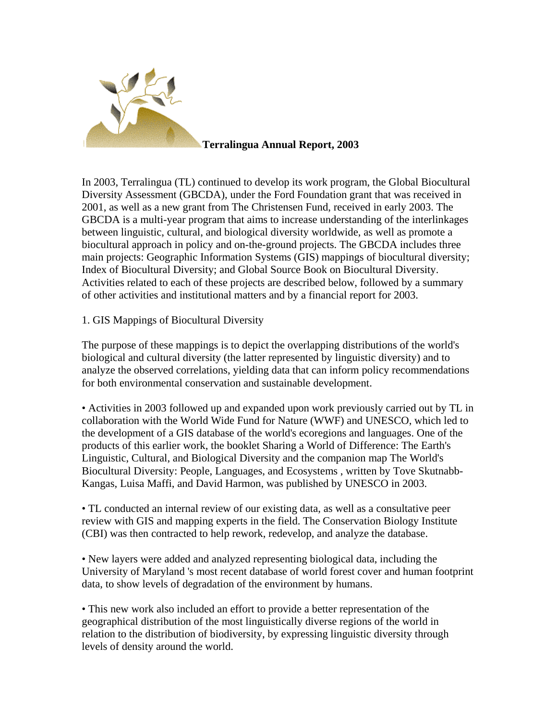

In 2003, Terralingua (TL) continued to develop its work program, the Global Biocultural Diversity Assessment (GBCDA), under the Ford Foundation grant that was received in 2001, as well as a new grant from The Christensen Fund, received in early 2003. The GBCDA is a multi-year program that aims to increase understanding of the interlinkages between linguistic, cultural, and biological diversity worldwide, as well as promote a biocultural approach in policy and on-the-ground projects. The GBCDA includes three main projects: Geographic Information Systems (GIS) mappings of biocultural diversity; Index of Biocultural Diversity; and Global Source Book on Biocultural Diversity. Activities related to each of these projects are described below, followed by a summary of other activities and institutional matters and by a financial report for 2003.

## 1. GIS Mappings of Biocultural Diversity

The purpose of these mappings is to depict the overlapping distributions of the world's biological and cultural diversity (the latter represented by linguistic diversity) and to analyze the observed correlations, yielding data that can inform policy recommendations for both environmental conservation and sustainable development.

• Activities in 2003 followed up and expanded upon work previously carried out by TL in collaboration with the World Wide Fund for Nature (WWF) and UNESCO, which led to the development of a GIS database of the world's ecoregions and languages. One of the products of this earlier work, the booklet Sharing a World of Difference: The Earth's Linguistic, Cultural, and Biological Diversity and the companion map The World's Biocultural Diversity: People, Languages, and Ecosystems , written by Tove Skutnabb-Kangas, Luisa Maffi, and David Harmon, was published by UNESCO in 2003.

• TL conducted an internal review of our existing data, as well as a consultative peer review with GIS and mapping experts in the field. The Conservation Biology Institute (CBI) was then contracted to help rework, redevelop, and analyze the database.

• New layers were added and analyzed representing biological data, including the University of Maryland 's most recent database of world forest cover and human footprint data, to show levels of degradation of the environment by humans.

• This new work also included an effort to provide a better representation of the geographical distribution of the most linguistically diverse regions of the world in relation to the distribution of biodiversity, by expressing linguistic diversity through levels of density around the world.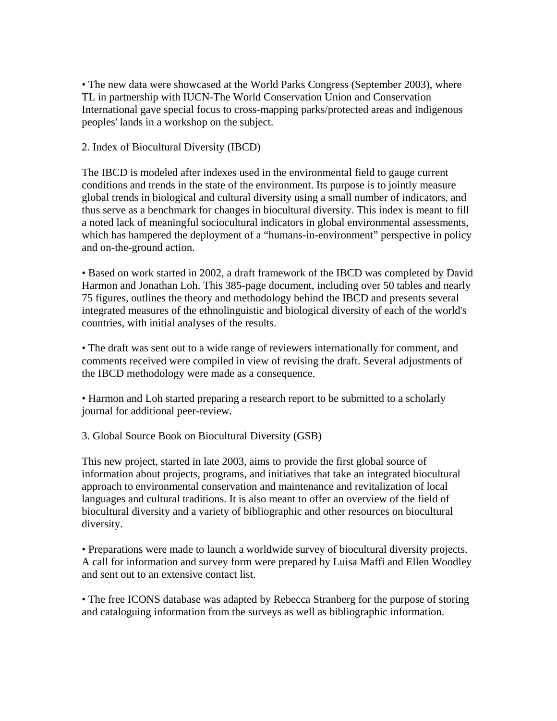• The new data were showcased at the World Parks Congress (September 2003), where TL in partnership with IUCN-The World Conservation Union and Conservation International gave special focus to cross-mapping parks/protected areas and indigenous peoples' lands in a workshop on the subject.

2. Index of Biocultural Diversity (IBCD)

The IBCD is modeled after indexes used in the environmental field to gauge current conditions and trends in the state of the environment. Its purpose is to jointly measure global trends in biological and cultural diversity using a small number of indicators, and thus serve as a benchmark for changes in biocultural diversity. This index is meant to fill a noted lack of meaningful sociocultural indicators in global environmental assessments, which has hampered the deployment of a "humans-in-environment" perspective in policy and on-the-ground action.

• Based on work started in 2002, a draft framework of the IBCD was completed by David Harmon and Jonathan Loh. This 385-page document, including over 50 tables and nearly 75 figures, outlines the theory and methodology behind the IBCD and presents several integrated measures of the ethnolinguistic and biological diversity of each of the world's countries, with initial analyses of the results.

• The draft was sent out to a wide range of reviewers internationally for comment, and comments received were compiled in view of revising the draft. Several adjustments of the IBCD methodology were made as a consequence.

• Harmon and Loh started preparing a research report to be submitted to a scholarly journal for additional peer-review.

3. Global Source Book on Biocultural Diversity (GSB)

This new project, started in late 2003, aims to provide the first global source of information about projects, programs, and initiatives that take an integrated biocultural approach to environmental conservation and maintenance and revitalization of local languages and cultural traditions. It is also meant to offer an overview of the field of biocultural diversity and a variety of bibliographic and other resources on biocultural diversity.

• Preparations were made to launch a worldwide survey of biocultural diversity projects. A call for information and survey form were prepared by Luisa Maffi and Ellen Woodley and sent out to an extensive contact list.

• The free ICONS database was adapted by Rebecca Stranberg for the purpose of storing and cataloguing information from the surveys as well as bibliographic information.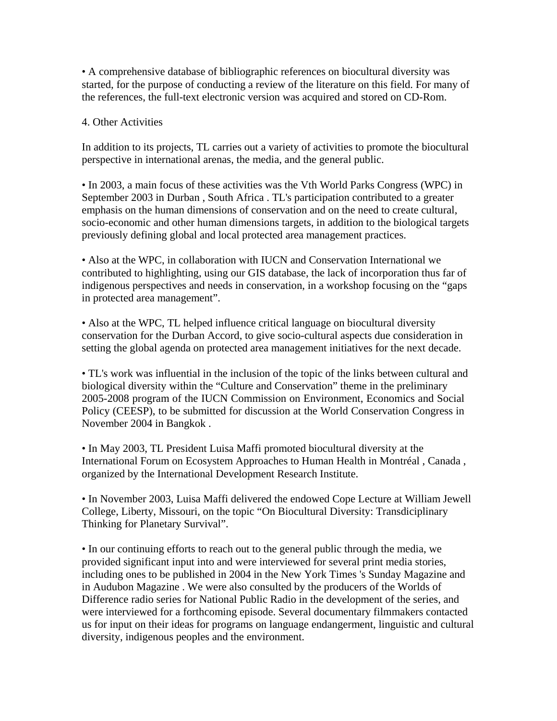• A comprehensive database of bibliographic references on biocultural diversity was started, for the purpose of conducting a review of the literature on this field. For many of the references, the full-text electronic version was acquired and stored on CD-Rom.

## 4. Other Activities

In addition to its projects, TL carries out a variety of activities to promote the biocultural perspective in international arenas, the media, and the general public.

• In 2003, a main focus of these activities was the Vth World Parks Congress (WPC) in September 2003 in Durban , South Africa . TL's participation contributed to a greater emphasis on the human dimensions of conservation and on the need to create cultural, socio-economic and other human dimensions targets, in addition to the biological targets previously defining global and local protected area management practices.

• Also at the WPC, in collaboration with IUCN and Conservation International we contributed to highlighting, using our GIS database, the lack of incorporation thus far of indigenous perspectives and needs in conservation, in a workshop focusing on the "gaps in protected area management".

• Also at the WPC, TL helped influence critical language on biocultural diversity conservation for the Durban Accord, to give socio-cultural aspects due consideration in setting the global agenda on protected area management initiatives for the next decade.

• TL's work was influential in the inclusion of the topic of the links between cultural and biological diversity within the "Culture and Conservation" theme in the preliminary 2005-2008 program of the IUCN Commission on Environment, Economics and Social Policy (CEESP), to be submitted for discussion at the World Conservation Congress in November 2004 in Bangkok .

• In May 2003, TL President Luisa Maffi promoted biocultural diversity at the International Forum on Ecosystem Approaches to Human Health in Montréal , Canada , organized by the International Development Research Institute.

• In November 2003, Luisa Maffi delivered the endowed Cope Lecture at William Jewell College, Liberty, Missouri, on the topic "On Biocultural Diversity: Transdiciplinary Thinking for Planetary Survival".

• In our continuing efforts to reach out to the general public through the media, we provided significant input into and were interviewed for several print media stories, including ones to be published in 2004 in the New York Times 's Sunday Magazine and in Audubon Magazine . We were also consulted by the producers of the Worlds of Difference radio series for National Public Radio in the development of the series, and were interviewed for a forthcoming episode. Several documentary filmmakers contacted us for input on their ideas for programs on language endangerment, linguistic and cultural diversity, indigenous peoples and the environment.